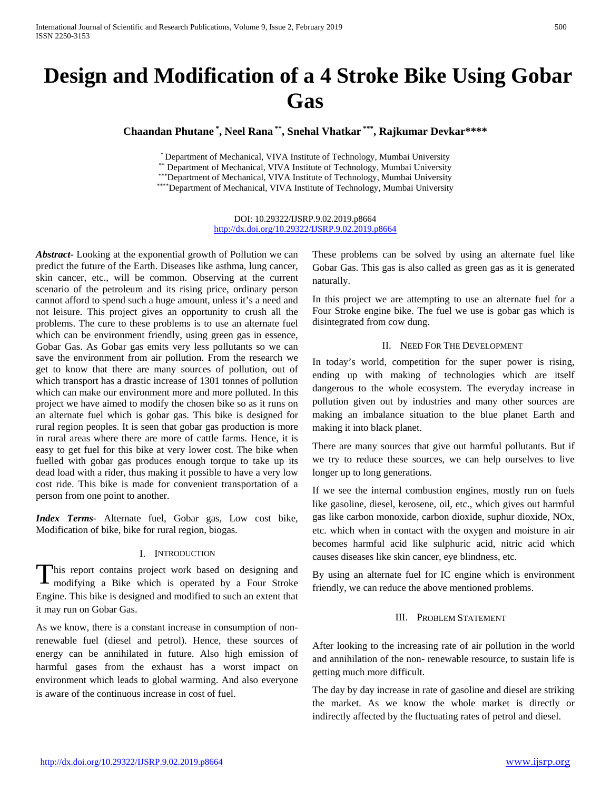# **Design and Modification of a 4 Stroke Bike Using Gobar Gas**

**Chaandan Phutane \* , Neel Rana \*\*, Snehal Vhatkar \*\*\* , Rajkumar Devkar\*\*\*\***

\* Department of Mechanical, VIVA Institute of Technology, Mumbai University

\*\* Department of Mechanical, VIVA Institute of Technology, Mumbai University

\*\*\*Department of Mechanical, VIVA Institute of Technology, Mumbai University

\*\*\*\*Department of Mechanical, VIVA Institute of Technology, Mumbai University

DOI: 10.29322/IJSRP.9.02.2019.p8664 <http://dx.doi.org/10.29322/IJSRP.9.02.2019.p8664>

*Abstract***-** Looking at the exponential growth of Pollution we can predict the future of the Earth. Diseases like asthma, lung cancer, skin cancer, etc., will be common. Observing at the current scenario of the petroleum and its rising price, ordinary person cannot afford to spend such a huge amount, unless it's a need and not leisure. This project gives an opportunity to crush all the problems. The cure to these problems is to use an alternate fuel which can be environment friendly, using green gas in essence, Gobar Gas. As Gobar gas emits very less pollutants so we can save the environment from air pollution. From the research we get to know that there are many sources of pollution, out of which transport has a drastic increase of 1301 tonnes of pollution which can make our environment more and more polluted. In this project we have aimed to modify the chosen bike so as it runs on an alternate fuel which is gobar gas. This bike is designed for rural region peoples. It is seen that gobar gas production is more in rural areas where there are more of cattle farms. Hence, it is easy to get fuel for this bike at very lower cost. The bike when fuelled with gobar gas produces enough torque to take up its dead load with a rider, thus making it possible to have a very low cost ride. This bike is made for convenient transportation of a person from one point to another.

*Index Terms*- Alternate fuel, Gobar gas, Low cost bike, Modification of bike, bike for rural region, biogas.

# I. INTRODUCTION

his report contains project work based on designing and modifying a Bike which is operated by a Four Stroke Engine. This bike is designed and modified to such an extent that it may run on Gobar Gas. T

As we know, there is a constant increase in consumption of nonrenewable fuel (diesel and petrol). Hence, these sources of energy can be annihilated in future. Also high emission of harmful gases from the exhaust has a worst impact on environment which leads to global warming. And also everyone is aware of the continuous increase in cost of fuel.

These problems can be solved by using an alternate fuel like Gobar Gas. This gas is also called as green gas as it is generated naturally.

In this project we are attempting to use an alternate fuel for a Four Stroke engine bike. The fuel we use is gobar gas which is disintegrated from cow dung.

## II. NEED FOR THE DEVELOPMENT

In today's world, competition for the super power is rising, ending up with making of technologies which are itself dangerous to the whole ecosystem. The everyday increase in pollution given out by industries and many other sources are making an imbalance situation to the blue planet Earth and making it into black planet.

There are many sources that give out harmful pollutants. But if we try to reduce these sources, we can help ourselves to live longer up to long generations.

If we see the internal combustion engines, mostly run on fuels like gasoline, diesel, kerosene, oil, etc., which gives out harmful gas like carbon monoxide, carbon dioxide, suphur dioxide, NOx, etc. which when in contact with the oxygen and moisture in air becomes harmful acid like sulphuric acid, nitric acid which causes diseases like skin cancer, eye blindness, etc.

By using an alternate fuel for IC engine which is environment friendly, we can reduce the above mentioned problems.

#### III. PROBLEM STATEMENT

After looking to the increasing rate of air pollution in the world and annihilation of the non- renewable resource, to sustain life is getting much more difficult.

The day by day increase in rate of gasoline and diesel are striking the market. As we know the whole market is directly or indirectly affected by the fluctuating rates of petrol and diesel.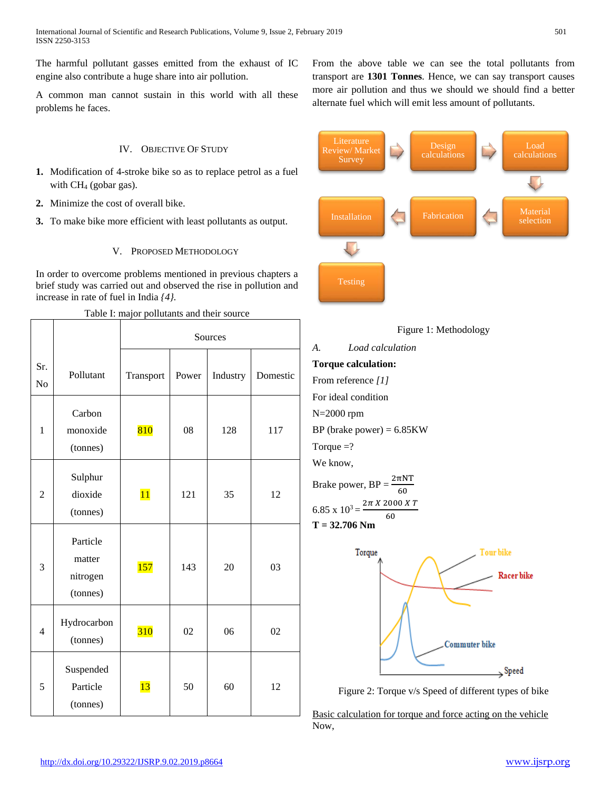The harmful pollutant gasses emitted from the exhaust of IC engine also contribute a huge share into air pollution.

A common man cannot sustain in this world with all these problems he faces.

## IV. OBJECTIVE OF STUDY

- **1.** Modification of 4-stroke bike so as to replace petrol as a fuel with CH4 (gobar gas).
- **2.** Minimize the cost of overall bike.
- **3.** To make bike more efficient with least pollutants as output.

# V. PROPOSED METHODOLOGY

In order to overcome problems mentioned in previous chapters a brief study was carried out and observed the rise in pollution and increase in rate of fuel in India *{4}.*

|                       |                                            | Sources         |       |          |          |
|-----------------------|--------------------------------------------|-----------------|-------|----------|----------|
| Sr.<br>N <sub>o</sub> | Pollutant                                  | Transport       | Power | Industry | Domestic |
| $\mathbf{1}$          | Carbon<br>monoxide<br>(tonnes)             | 810             | 08    | 128      | 117      |
| $\overline{2}$        | Sulphur<br>dioxide<br>(tonnes)             | $\overline{11}$ | 121   | 35       | 12       |
| 3                     | Particle<br>matter<br>nitrogen<br>(tonnes) | <b>157</b>      | 143   | 20       | 03       |
| $\overline{4}$        | Hydrocarbon<br>(tonnes)                    | <b>310</b>      | 02    | 06       | 02       |
| 5                     | Suspended<br>Particle<br>(tonnes)          | 13              | 50    | 60       | 12       |

Table I: major pollutants and their source

From the above table we can see the total pollutants from transport are **1301 Tonnes**. Hence, we can say transport causes more air pollution and thus we should we should find a better alternate fuel which will emit less amount of pollutants.









Figure 2: Torque v/s Speed of different types of bike

Basic calculation for torque and force acting on the vehicle Now,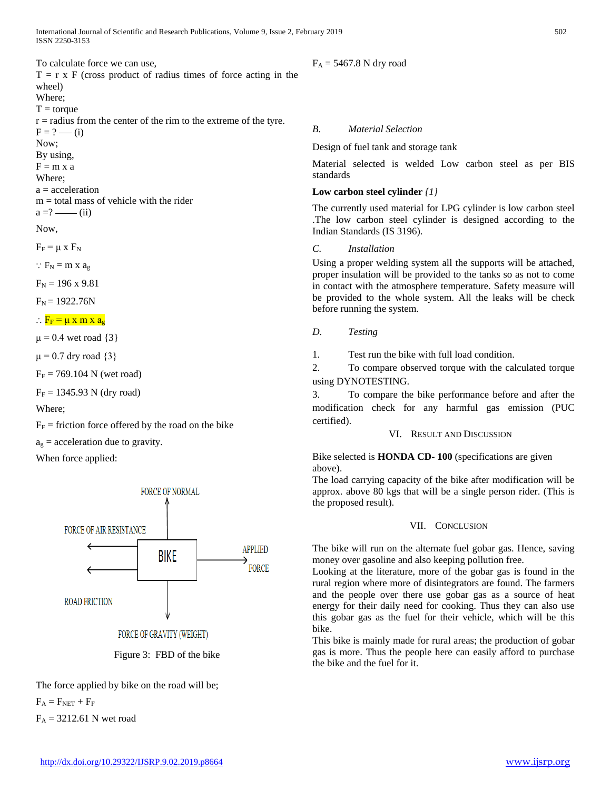International Journal of Scientific and Research Publications, Volume 9, Issue 2, February 2019 502 ISSN 2250-3153

To calculate force we can use,

 $T = r \times F$  (cross product of radius times of force acting in the wheel) Where;  $T = torque$  $r =$  radius from the center of the rim to the extreme of the tyre.  $F = ? - (i)$ Now; By using,  $F = m x a$ Where; a = acceleration  $m =$  total mass of vehicle with the rider  $a = ? \longrightarrow (ii)$ 

Now,

 $F_F = \mu \times F_N$ 

 $\therefore$  F<sub>N</sub> = m x a<sub>9</sub>

 $F_N = 196 \times 9.81$ 

 $F_N = 1922.76N$ 

 $\therefore$  F<sub>F</sub> =  $\mu$  x m x a<sub>g</sub>

 $\mu$  = 0.4 wet road {3}

 $\mu$  = 0.7 dry road {3}

 $F_F = 769.104$  N (wet road)

 $F_F = 1345.93$  N (dry road)

Where;

 $F_F$  = friction force offered by the road on the bike

 $a_g$  = acceleration due to gravity.

When force applied:





The force applied by bike on the road will be;

 $F_A = F_{NET} + F_F$ 

 $F_A = 3212.61$  N wet road

# $F_A = 5467.8$  N dry road

*B. Material Selection*

Design of fuel tank and storage tank

Material selected is welded Low carbon steel as per BIS standards

#### **Low carbon steel cylinder** *{1}*

The currently used material for LPG cylinder is low carbon steel .The low carbon steel cylinder is designed according to the Indian Standards (IS 3196).

#### *C. Installation*

Using a proper welding system all the supports will be attached, proper insulation will be provided to the tanks so as not to come in contact with the atmosphere temperature. Safety measure will be provided to the whole system. All the leaks will be check before running the system.

### *D. Testing*

1. Test run the bike with full load condition.

2. To compare observed torque with the calculated torque using DYNOTESTING.

3. To compare the bike performance before and after the modification check for any harmful gas emission (PUC certified).

VI. RESULT AND DISCUSSION

Bike selected is **HONDA CD- 100** (specifications are given above).

The load carrying capacity of the bike after modification will be approx. above 80 kgs that will be a single person rider. (This is the proposed result).

#### VII. CONCLUSION

The bike will run on the alternate fuel gobar gas. Hence, saving money over gasoline and also keeping pollution free.

Looking at the literature, more of the gobar gas is found in the rural region where more of disintegrators are found. The farmers and the people over there use gobar gas as a source of heat energy for their daily need for cooking. Thus they can also use this gobar gas as the fuel for their vehicle, which will be this bike.

This bike is mainly made for rural areas; the production of gobar gas is more. Thus the people here can easily afford to purchase the bike and the fuel for it.